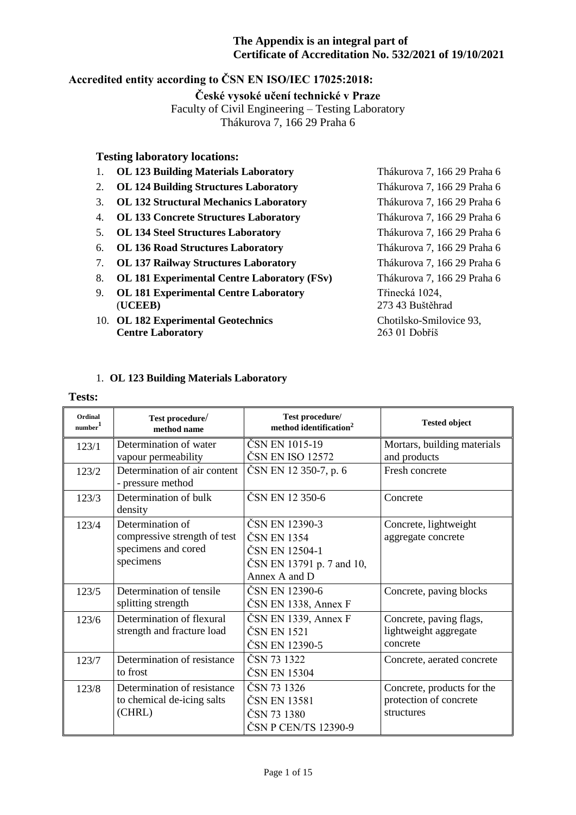## **Accredited entity according to ČSN EN ISO/IEC 17025:2018:**

## **České vysoké učení technické v Praze**

Faculty of Civil Engineering – Testing Laboratory

Thákurova 7, 166 29 Praha 6

## **Testing laboratory locations:**

- 1. **OL 123 Building Materials Laboratory** Thákurova 7, 166 29 Praha 6
- 2. **OL 124 Building Structures Laboratory** Thákurova 7, 166 29 Praha 6
- 3. **OL 132 Structural Mechanics Laboratory** Thákurova 7, 166 29 Praha 6
- 4. **OL 133 Concrete Structures Laboratory** Thákurova 7, 166 29 Praha 6
- 5. **OL 134 Steel Structures Laboratory** Thákurova 7, 166 29 Praha 6
- 6. **OL 136 Road Structures Laboratory** Thákurova 7, 166 29 Praha 6
- 7. **OL 137 Railway Structures Laboratory** Thákurova 7, 166 29 Praha 6
- 8. **OL 181 Experimental Centre Laboratory (FSv)** Thákurova 7, 166 29 Praha 6
- 9. **OL 181 Experimental Centre Laboratory** Třinecká 1024, (**UCEEB)** 273 43 Buštěhrad
- 10. **OL 182 Experimental Geotechnics** Chotilsko-Smilovice 93, **Centre Laboratory** 263 01 Dobříš

## 1. **OL 123 Building Materials Laboratory**

#### **Tests:**

| Ordinal<br>number <sup>1</sup> | Test procedure/<br>method name                                                       | Test procedure/<br>method identification <sup>2</sup>                                         | <b>Tested object</b>                                               |
|--------------------------------|--------------------------------------------------------------------------------------|-----------------------------------------------------------------------------------------------|--------------------------------------------------------------------|
| 123/1                          | Determination of water<br>vapour permeability                                        | ČSN EN 1015-19<br>ČSN EN ISO 12572                                                            | Mortars, building materials<br>and products                        |
| 123/2                          | Determination of air content<br>- pressure method                                    | ČSN EN 12 350-7, p. 6                                                                         | Fresh concrete                                                     |
| 123/3                          | Determination of bulk<br>density                                                     | ČSN EN 12 350-6                                                                               | Concrete                                                           |
| 123/4                          | Determination of<br>compressive strength of test<br>specimens and cored<br>specimens | ČSN EN 12390-3<br>ČSN EN 1354<br>ČSN EN 12504-1<br>ČSN EN 13791 p. 7 and 10,<br>Annex A and D | Concrete, lightweight<br>aggregate concrete                        |
| 123/5                          | Determination of tensile<br>splitting strength                                       | ČSN EN 12390-6<br>ČSN EN 1338, Annex F                                                        | Concrete, paving blocks                                            |
| 123/6                          | Determination of flexural<br>strength and fracture load                              | $\text{ČSN}$ EN 1339, Annex F<br>ČSN EN 1521<br>ČSN EN 12390-5                                | Concrete, paving flags,<br>lightweight aggregate<br>concrete       |
| 123/7                          | Determination of resistance<br>to frost                                              | ČSN 73 1322<br>ČSN EN 15304                                                                   | Concrete, aerated concrete                                         |
| 123/8                          | Determination of resistance<br>to chemical de-icing salts<br>(CHRL)                  | ČSN 73 1326<br>ČSN EN 13581<br>ČSN 73 1380<br>ČSN P CEN/TS 12390-9                            | Concrete, products for the<br>protection of concrete<br>structures |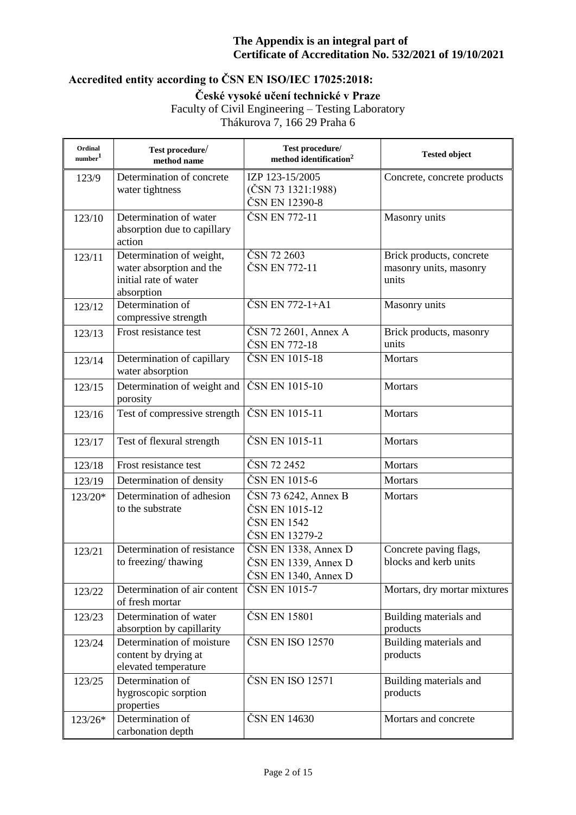# **Accredited entity according to ČSN EN ISO/IEC 17025:2018:**

**České vysoké učení technické v Praze**

Faculty of Civil Engineering – Testing Laboratory

Thákurova 7, 166 29 Praha 6

| Ordinal<br>number <sup>1</sup> | Test procedure/<br>method name                                                              | Test procedure/<br>method identification <sup>2</sup>                      | <b>Tested object</b>                                        |
|--------------------------------|---------------------------------------------------------------------------------------------|----------------------------------------------------------------------------|-------------------------------------------------------------|
| 123/9                          | Determination of concrete<br>water tightness                                                | IZP 123-15/2005<br>$(\text{ČSN } 73 \text{ } 1321:1988)$<br>ČSN EN 12390-8 | Concrete, concrete products                                 |
| 123/10                         | Determination of water<br>absorption due to capillary<br>action                             | ČSN EN 772-11                                                              | Masonry units                                               |
| 123/11                         | Determination of weight,<br>water absorption and the<br>initial rate of water<br>absorption | ČSN 72 2603<br>ČSN EN 772-11                                               | Brick products, concrete<br>masonry units, masonry<br>units |
| 123/12                         | Determination of<br>compressive strength                                                    | ČSN EN 772-1+A1                                                            | Masonry units                                               |
| 123/13                         | Frost resistance test                                                                       | ČSN 72 2601, Annex A<br>ČSN EN 772-18                                      | Brick products, masonry<br>units                            |
| 123/14                         | Determination of capillary<br>water absorption                                              | ČSN EN 1015-18                                                             | Mortars                                                     |
| 123/15                         | Determination of weight and<br>porosity                                                     | ČSN EN 1015-10                                                             | Mortars                                                     |
| 123/16                         | Test of compressive strength                                                                | ČSN EN 1015-11                                                             | Mortars                                                     |
| 123/17                         | Test of flexural strength                                                                   | ČSN EN 1015-11                                                             | Mortars                                                     |
| 123/18                         | Frost resistance test                                                                       | ČSN 72 2452                                                                | Mortars                                                     |
| 123/19                         | Determination of density                                                                    | ČSN EN 1015-6                                                              | <b>Mortars</b>                                              |
| 123/20*                        | Determination of adhesion<br>to the substrate                                               | ČSN 73 6242, Annex B<br>ČSN EN 1015-12<br>ČSN EN 1542<br>ČSN EN 13279-2    | Mortars                                                     |
| 123/21                         | Determination of resistance<br>to freezing/thawing                                          | ČSN EN 1338, Annex D<br>ČSN EN 1339, Annex D<br>ČSN EN 1340, Annex D       | Concrete paving flags,<br>blocks and kerb units             |
| 123/22                         | Determination of air content<br>of fresh mortar                                             | ČSN EN 1015-7                                                              | Mortars, dry mortar mixtures                                |
| 123/23                         | Determination of water<br>absorption by capillarity                                         | ČSN EN 15801                                                               | Building materials and<br>products                          |
| 123/24                         | Determination of moisture<br>content by drying at<br>elevated temperature                   | ČSN EN ISO 12570                                                           | Building materials and<br>products                          |
| 123/25                         | Determination of<br>hygroscopic sorption<br>properties                                      | ČSN EN ISO 12571                                                           | Building materials and<br>products                          |
| 123/26*                        | Determination of<br>carbonation depth                                                       | ČSN EN 14630                                                               | Mortars and concrete                                        |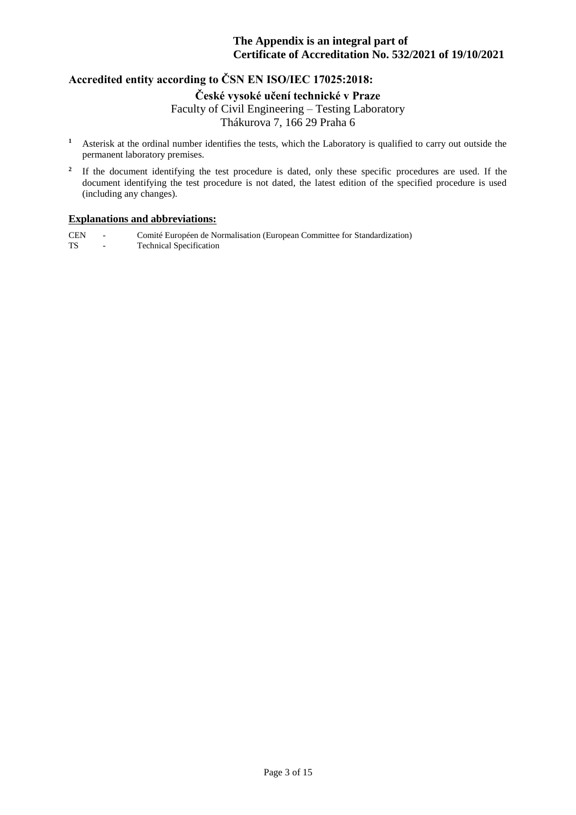## **Accredited entity according to ČSN EN ISO/IEC 17025:2018:**

**České vysoké učení technické v Praze**

Faculty of Civil Engineering – Testing Laboratory

Thákurova 7, 166 29 Praha 6

- **<sup>1</sup>** Asterisk at the ordinal number identifies the tests, which the Laboratory is qualified to carry out outside the permanent laboratory premises.
- **2** If the document identifying the test procedure is dated, only these specific procedures are used. If the document identifying the test procedure is not dated, the latest edition of the specified procedure is used (including any changes).

### **Explanations and abbreviations:**

CEN - Comité Européen de Normalisation (European Committee for Standardization) TS - Technical Specification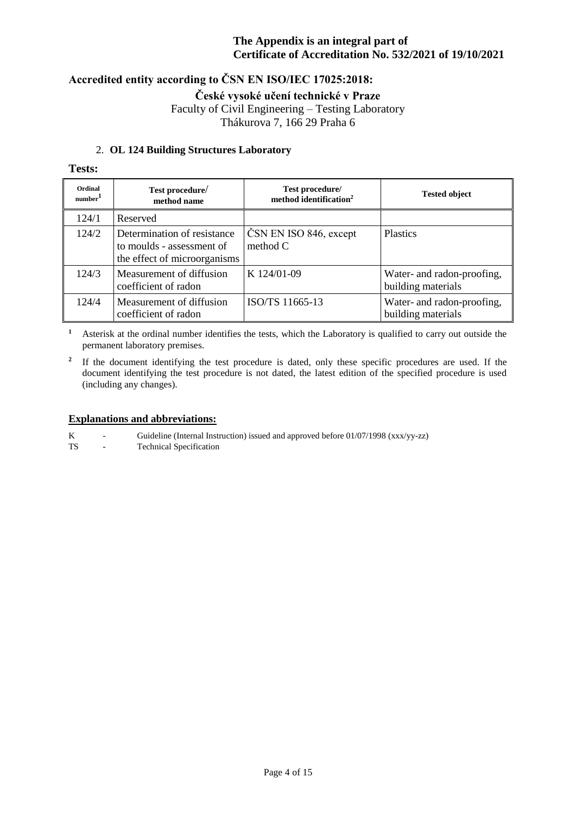## **Accredited entity according to ČSN EN ISO/IEC 17025:2018:**

**České vysoké učení technické v Praze**

Faculty of Civil Engineering – Testing Laboratory Thákurova 7, 166 29 Praha 6

## 2. **OL 124 Building Structures Laboratory**

## **Tests:**

| Ordinal<br>number <sup>1</sup> | Test procedure/<br>method name                                                           | Test procedure/<br>method identification <sup>2</sup> | <b>Tested object</b>                             |
|--------------------------------|------------------------------------------------------------------------------------------|-------------------------------------------------------|--------------------------------------------------|
| 124/1                          | Reserved                                                                                 |                                                       |                                                  |
| 124/2                          | Determination of resistance<br>to moulds - assessment of<br>the effect of microorganisms | ČSN EN ISO 846, except<br>method $C$                  | <b>Plastics</b>                                  |
| 124/3                          | Measurement of diffusion<br>coefficient of radon                                         | K 124/01-09                                           | Water- and radon-proofing,<br>building materials |
| 124/4                          | Measurement of diffusion<br>coefficient of radon                                         | ISO/TS 11665-13                                       | Water- and radon-proofing,<br>building materials |

**<sup>1</sup>** Asterisk at the ordinal number identifies the tests, which the Laboratory is qualified to carry out outside the permanent laboratory premises.

<sup>2</sup> If the document identifying the test procedure is dated, only these specific procedures are used. If the document identifying the test procedure is not dated, the latest edition of the specified procedure is used (including any changes).

#### **Explanations and abbreviations:**

K - Guideline (Internal Instruction) issued and approved before 01/07/1998 (xxx/yy-zz)<br>TS - Technical Specification

- Technical Specification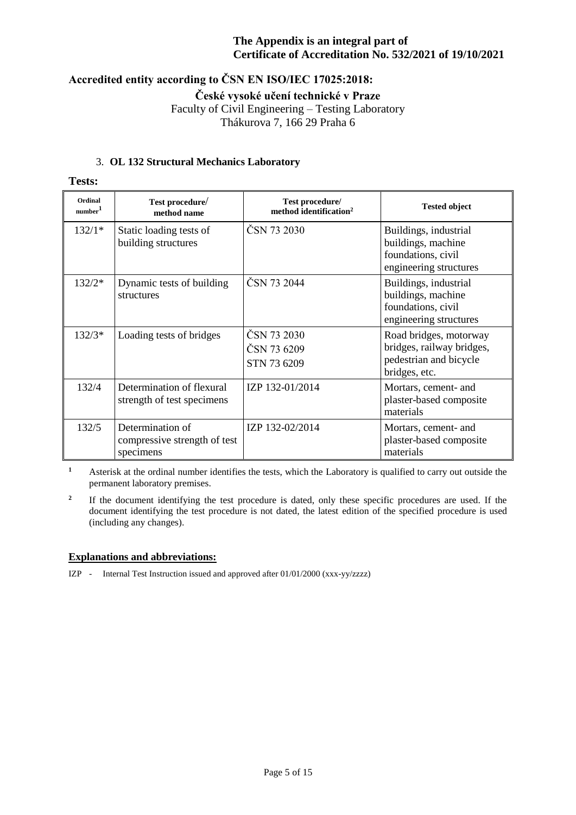# **Accredited entity according to ČSN EN ISO/IEC 17025:2018:**

**České vysoké učení technické v Praze**

Faculty of Civil Engineering – Testing Laboratory

Thákurova 7, 166 29 Praha 6

## 3. **OL 132 Structural Mechanics Laboratory**

**Tests:**

| Ordinal<br>number <sup>1</sup> | Test procedure/<br>method name                                | Test procedure/<br>method identification <sup>2</sup> | <b>Tested object</b>                                                                           |
|--------------------------------|---------------------------------------------------------------|-------------------------------------------------------|------------------------------------------------------------------------------------------------|
| $132/1*$                       | Static loading tests of<br>building structures                | ČSN 73 2030                                           | Buildings, industrial<br>buildings, machine<br>foundations, civil<br>engineering structures    |
| $132/2*$                       | Dynamic tests of building<br>structures                       | ČSN 73 2044                                           | Buildings, industrial<br>buildings, machine<br>foundations, civil<br>engineering structures    |
| $132/3*$                       | Loading tests of bridges                                      | ČSN 73 2030<br>ČSN 73 6209<br>STN 73 6209             | Road bridges, motorway<br>bridges, railway bridges,<br>pedestrian and bicycle<br>bridges, etc. |
| 132/4                          | Determination of flexural<br>strength of test specimens       | IZP 132-01/2014                                       | Mortars, cement- and<br>plaster-based composite<br>materials                                   |
| 132/5                          | Determination of<br>compressive strength of test<br>specimens | IZP 132-02/2014                                       | Mortars, cement- and<br>plaster-based composite<br>materials                                   |

**<sup>1</sup>** Asterisk at the ordinal number identifies the tests, which the Laboratory is qualified to carry out outside the permanent laboratory premises.

**2** If the document identifying the test procedure is dated, only these specific procedures are used. If the document identifying the test procedure is not dated, the latest edition of the specified procedure is used (including any changes).

### **Explanations and abbreviations:**

IZP - Internal Test Instruction issued and approved after 01/01/2000 (xxx-yy/zzzz)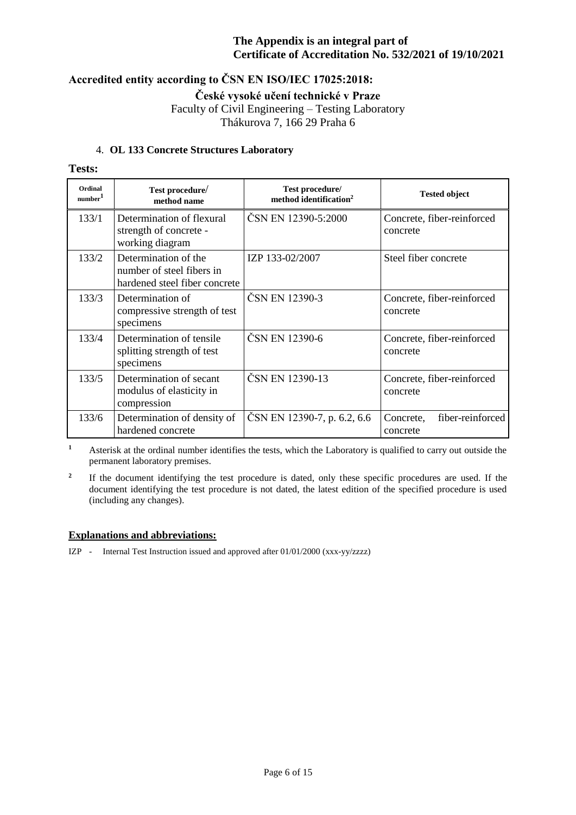## **Accredited entity according to ČSN EN ISO/IEC 17025:2018:**

**České vysoké učení technické v Praze**

Faculty of Civil Engineering – Testing Laboratory Thákurova 7, 166 29 Praha 6

### 4. **OL 133 Concrete Structures Laboratory**

### **Tests:**

| Ordinal<br>number <sup>1</sup> | Test procedure/<br>method name                                                     | Test procedure/<br>method identification <sup>2</sup> | <b>Tested object</b>                      |
|--------------------------------|------------------------------------------------------------------------------------|-------------------------------------------------------|-------------------------------------------|
| 133/1                          | Determination of flexural<br>strength of concrete -<br>working diagram             | ČSN EN 12390-5:2000                                   | Concrete, fiber-reinforced<br>concrete    |
| 133/2                          | Determination of the<br>number of steel fibers in<br>hardened steel fiber concrete | IZP 133-02/2007                                       | Steel fiber concrete                      |
| 133/3                          | Determination of<br>compressive strength of test<br>specimens                      | ČSN EN 12390-3                                        | Concrete, fiber-reinforced<br>concrete    |
| 133/4                          | Determination of tensile<br>splitting strength of test<br>specimens                | ČSN EN 12390-6                                        | Concrete, fiber-reinforced<br>concrete    |
| 133/5                          | Determination of secant<br>modulus of elasticity in<br>compression                 | ČSN EN 12390-13                                       | Concrete, fiber-reinforced<br>concrete    |
| 133/6                          | Determination of density of<br>hardened concrete                                   | ČSN EN 12390-7, p. 6.2, 6.6                           | fiber-reinforced<br>Concrete,<br>concrete |

**<sup>1</sup>** Asterisk at the ordinal number identifies the tests, which the Laboratory is qualified to carry out outside the permanent laboratory premises.

**2** If the document identifying the test procedure is dated, only these specific procedures are used. If the document identifying the test procedure is not dated, the latest edition of the specified procedure is used (including any changes).

#### **Explanations and abbreviations:**

IZP - Internal Test Instruction issued and approved after 01/01/2000 (xxx-yy/zzzz)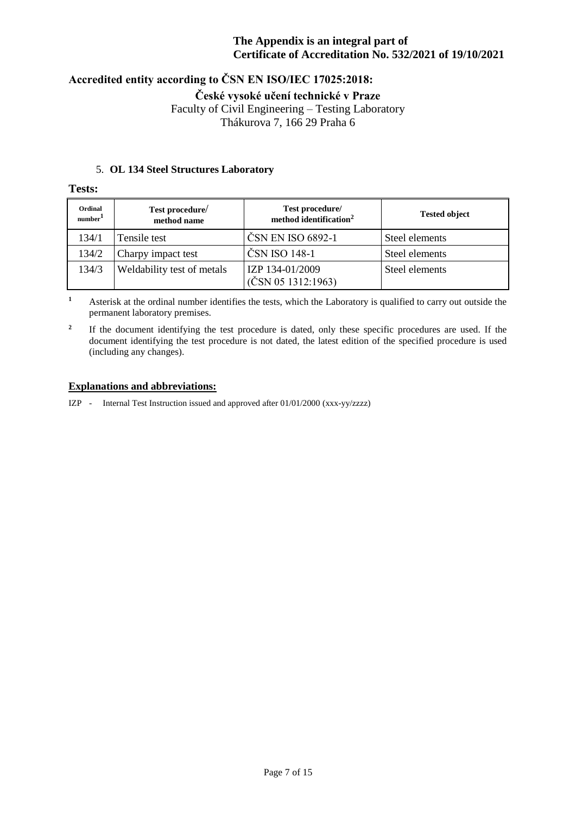# **Accredited entity according to ČSN EN ISO/IEC 17025:2018:**

**České vysoké učení technické v Praze**

Faculty of Civil Engineering – Testing Laboratory

Thákurova 7, 166 29 Praha 6

### 5. **OL 134 Steel Structures Laboratory**

### **Tests:**

| Ordinal<br>number <sup>1</sup> | Test procedure/<br>method name | Test procedure/<br>method identification <sup>2</sup> | <b>Tested object</b> |
|--------------------------------|--------------------------------|-------------------------------------------------------|----------------------|
| 134/1                          | Tensile test                   | ČSN EN ISO 6892-1                                     | Steel elements       |
| 134/2                          | Charpy impact test             | ČSN ISO 148-1                                         | Steel elements       |
| 134/3                          | Weldability test of metals     | IZP 134-01/2009<br>(ČSN 05 1312:1963)                 | Steel elements       |

**<sup>1</sup>** Asterisk at the ordinal number identifies the tests, which the Laboratory is qualified to carry out outside the permanent laboratory premises.

**2** If the document identifying the test procedure is dated, only these specific procedures are used. If the document identifying the test procedure is not dated, the latest edition of the specified procedure is used (including any changes).

### **Explanations and abbreviations:**

IZP - Internal Test Instruction issued and approved after 01/01/2000 (xxx-yy/zzzz)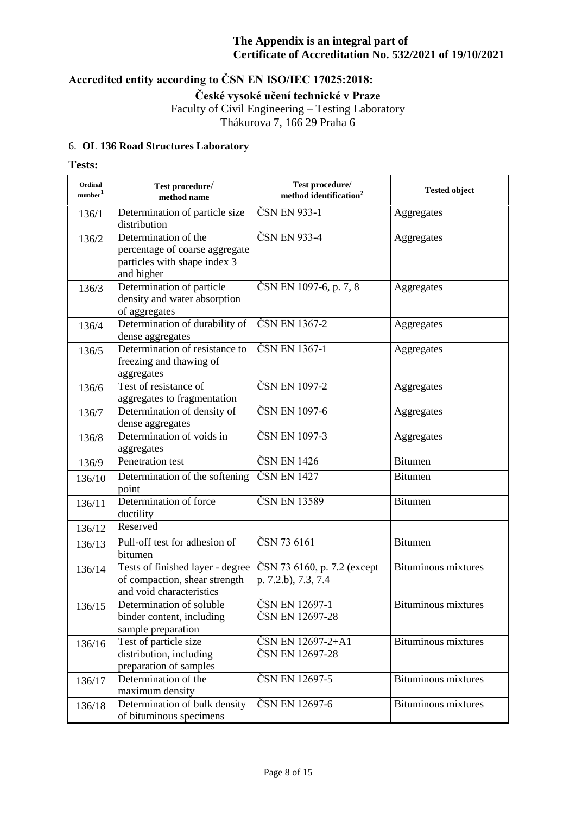# **Accredited entity according to ČSN EN ISO/IEC 17025:2018:**

**České vysoké učení technické v Praze**

Faculty of Civil Engineering – Testing Laboratory Thákurova 7, 166 29 Praha 6

## 6. **OL 136 Road Structures Laboratory**

### **Tests:**

| Ordinal<br>number <sup>1</sup> | Test procedure/<br>method name                                                                       | Test procedure/<br>method identification $2$       | <b>Tested object</b>       |
|--------------------------------|------------------------------------------------------------------------------------------------------|----------------------------------------------------|----------------------------|
| 136/1                          | Determination of particle size<br>distribution                                                       | ČSN EN 933-1                                       | Aggregates                 |
| 136/2                          | Determination of the<br>percentage of coarse aggregate<br>particles with shape index 3<br>and higher | ČSN EN 933-4                                       | Aggregates                 |
| 136/3                          | Determination of particle<br>density and water absorption<br>of aggregates                           | ČSN EN 1097-6, p. 7, 8                             | Aggregates                 |
| 136/4                          | Determination of durability of<br>dense aggregates                                                   | ČSN EN 1367-2                                      | Aggregates                 |
| 136/5                          | Determination of resistance to<br>freezing and thawing of<br>aggregates                              | ČSN EN 1367-1                                      | Aggregates                 |
| 136/6                          | Test of resistance of<br>aggregates to fragmentation                                                 | ČSN EN 1097-2                                      | Aggregates                 |
| 136/7                          | Determination of density of<br>dense aggregates                                                      | ČSN EN 1097-6                                      | Aggregates                 |
| 136/8                          | Determination of voids in<br>aggregates                                                              | ČSN EN 1097-3                                      | Aggregates                 |
| 136/9                          | Penetration test                                                                                     | ČSN EN 1426                                        | <b>Bitumen</b>             |
| 136/10                         | Determination of the softening<br>point                                                              | ČSN EN 1427                                        | <b>Bitumen</b>             |
| 136/11                         | Determination of force<br>ductility                                                                  | ČSN EN 13589                                       | <b>Bitumen</b>             |
| 136/12                         | Reserved                                                                                             |                                                    |                            |
| 136/13                         | Pull-off test for adhesion of<br>bitumen                                                             | ČSN 73 6161                                        | <b>Bitumen</b>             |
| 136/14                         | Tests of finished layer - degree<br>of compaction, shear strength<br>and void characteristics        | ČSN 73 6160, p. 7.2 (except<br>p. 7.2.b), 7.3, 7.4 | <b>Bituminous mixtures</b> |
| 136/15                         | Determination of soluble<br>binder content, including<br>sample preparation                          | ČSN EN 12697-1<br>ČSN EN 12697-28                  | <b>Bituminous mixtures</b> |
| 136/16                         | Test of particle size<br>distribution, including<br>preparation of samples                           | ČSN EN 12697-2+A1<br>ČSN EN 12697-28               | Bituminous mixtures        |
| 136/17                         | Determination of the<br>maximum density                                                              | ČSN EN 12697-5                                     | <b>Bituminous mixtures</b> |
| 136/18                         | Determination of bulk density<br>of bituminous specimens                                             | ČSN EN 12697-6                                     | <b>Bituminous mixtures</b> |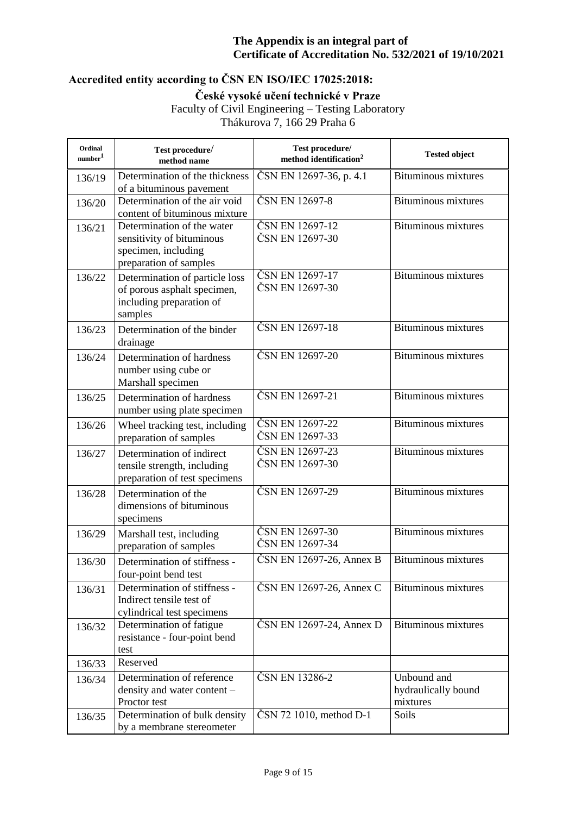# **Accredited entity according to ČSN EN ISO/IEC 17025:2018:**

**České vysoké učení technické v Praze**

Faculty of Civil Engineering – Testing Laboratory

Thákurova 7, 166 29 Praha 6

| Ordinal<br>number <sup>1</sup> | Test procedure/<br>method name                                                                           | Test procedure/<br>method identification <sup>2</sup> | <b>Tested object</b>                           |
|--------------------------------|----------------------------------------------------------------------------------------------------------|-------------------------------------------------------|------------------------------------------------|
| 136/19                         | Determination of the thickness<br>of a bituminous pavement                                               | ČSN EN 12697-36, p. 4.1                               | Bituminous mixtures                            |
| 136/20                         | Determination of the air void<br>content of bituminous mixture                                           | ČSN EN 12697-8                                        | <b>Bituminous mixtures</b>                     |
| 136/21                         | Determination of the water<br>sensitivity of bituminous<br>specimen, including<br>preparation of samples | ČSN EN 12697-12<br>ČSN EN 12697-30                    | <b>Bituminous mixtures</b>                     |
| 136/22                         | Determination of particle loss<br>of porous asphalt specimen,<br>including preparation of<br>samples     | ČSN EN 12697-17<br>ČSN EN 12697-30                    | <b>Bituminous mixtures</b>                     |
| 136/23                         | Determination of the binder<br>drainage                                                                  | ČSN EN 12697-18                                       | <b>Bituminous mixtures</b>                     |
| 136/24                         | Determination of hardness<br>number using cube or<br>Marshall specimen                                   | ČSN EN 12697-20                                       | <b>Bituminous mixtures</b>                     |
| 136/25                         | Determination of hardness<br>number using plate specimen                                                 | ČSN EN 12697-21                                       | <b>Bituminous mixtures</b>                     |
| 136/26                         | Wheel tracking test, including<br>preparation of samples                                                 | ČSN EN 12697-22<br>ČSN EN 12697-33                    | <b>Bituminous mixtures</b>                     |
| 136/27                         | Determination of indirect<br>tensile strength, including<br>preparation of test specimens                | ČSN EN 12697-23<br>ČSN EN 12697-30                    | Bituminous mixtures                            |
| 136/28                         | Determination of the<br>dimensions of bituminous<br>specimens                                            | ČSN EN 12697-29                                       | <b>Bituminous mixtures</b>                     |
| 136/29                         | Marshall test, including<br>preparation of samples                                                       | ČSN EN 12697-30<br>ČSN EN 12697-34                    | <b>Bituminous mixtures</b>                     |
| 136/30                         | Determination of stiffness -<br>four-point bend test                                                     | $\textcolor{red}{\text{CSN}}$ EN 12697-26, Annex B    | <b>Bituminous mixtures</b>                     |
| 136/31                         | Determination of stiffness -<br>Indirect tensile test of<br>cylindrical test specimens                   | ČSN EN 12697-26, Annex C                              | <b>Bituminous mixtures</b>                     |
| 136/32                         | Determination of fatigue<br>resistance - four-point bend<br>test                                         | ČSN EN 12697-24, Annex D                              | <b>Bituminous mixtures</b>                     |
| 136/33                         | Reserved                                                                                                 |                                                       |                                                |
| 136/34                         | Determination of reference<br>density and water content -<br>Proctor test                                | ČSN EN 13286-2                                        | Unbound and<br>hydraulically bound<br>mixtures |
| 136/35                         | Determination of bulk density<br>by a membrane stereometer                                               | ČSN 72 1010, method D-1                               | Soils                                          |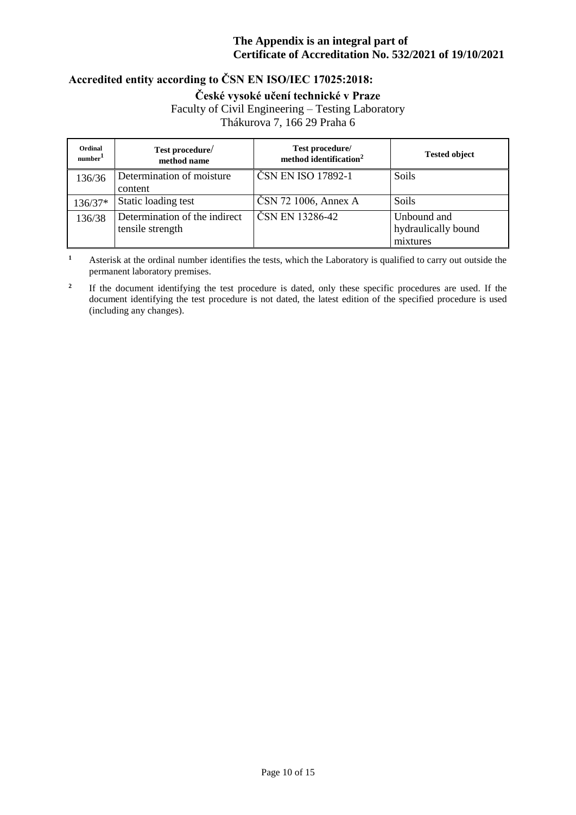# **Accredited entity according to ČSN EN ISO/IEC 17025:2018:**

**České vysoké učení technické v Praze**

Faculty of Civil Engineering – Testing Laboratory

Thákurova 7, 166 29 Praha 6

| Ordinal<br>number <sup>1</sup> | Test procedure/<br>method name                    | Test procedure/<br>method identification <sup>2</sup> | <b>Tested object</b>                           |
|--------------------------------|---------------------------------------------------|-------------------------------------------------------|------------------------------------------------|
| 136/36                         | Determination of moisture<br>content              | ČSN EN ISO 17892-1                                    | <b>Soils</b>                                   |
| 136/37*                        | Static loading test                               | ČSN 72 1006, Annex A                                  | <b>Soils</b>                                   |
| 136/38                         | Determination of the indirect<br>tensile strength | ČSN EN 13286-42                                       | Unbound and<br>hydraulically bound<br>mixtures |

**<sup>1</sup>** Asterisk at the ordinal number identifies the tests, which the Laboratory is qualified to carry out outside the permanent laboratory premises.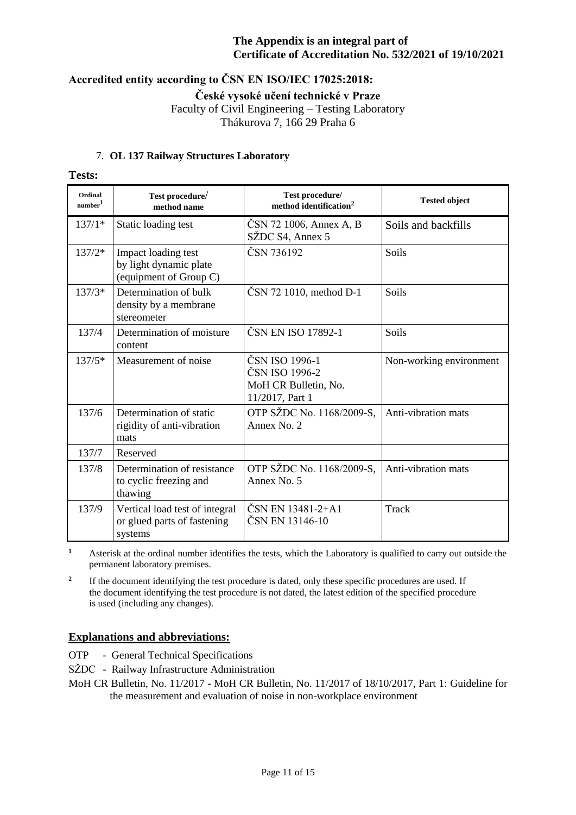# **Accredited entity according to ČSN EN ISO/IEC 17025:2018:**

**České vysoké učení technické v Praze**

Faculty of Civil Engineering – Testing Laboratory

Thákurova 7, 166 29 Praha 6

## 7. **OL 137 Railway Structures Laboratory**

**Tests:**

| Ordinal<br>$\mbox{number}^1$ | Test procedure/<br>method name                                           | Test procedure/<br>method identification <sup>2</sup>                       | <b>Tested object</b>    |
|------------------------------|--------------------------------------------------------------------------|-----------------------------------------------------------------------------|-------------------------|
| $137/1*$                     | Static loading test                                                      | ČSN 72 1006, Annex A, B<br>SŽDC S4, Annex 5                                 | Soils and backfills     |
| $137/2*$                     | Impact loading test<br>by light dynamic plate<br>(equipment of Group C)  | ČSN 736192                                                                  | Soils                   |
| $137/3*$                     | Determination of bulk<br>density by a membrane<br>stereometer            | ČSN 72 1010, method D-1                                                     | Soils                   |
| 137/4                        | Determination of moisture<br>content                                     | ČSN EN ISO 17892-1                                                          | Soils                   |
| $137/5*$                     | Measurement of noise                                                     | ČSN ISO 1996-1<br>ČSN ISO 1996-2<br>MoH CR Bulletin, No.<br>11/2017, Part 1 | Non-working environment |
| 137/6                        | Determination of static<br>rigidity of anti-vibration<br>mats            | OTP SŽDC No. 1168/2009-S,<br>Annex No. 2                                    | Anti-vibration mats     |
| 137/7                        | Reserved                                                                 |                                                                             |                         |
| 137/8                        | Determination of resistance<br>to cyclic freezing and<br>thawing         | OTP SŽDC No. 1168/2009-S,<br>Annex No. 5                                    | Anti-vibration mats     |
| 137/9                        | Vertical load test of integral<br>or glued parts of fastening<br>systems | ČSN EN 13481-2+A1<br>ČSN EN 13146-10                                        | <b>Track</b>            |

**<sup>1</sup>** Asterisk at the ordinal number identifies the tests, which the Laboratory is qualified to carry out outside the permanent laboratory premises.

**2** If the document identifying the test procedure is dated, only these specific procedures are used. If the document identifying the test procedure is not dated, the latest edition of the specified procedure is used (including any changes).

## **Explanations and abbreviations:**

- OTP General Technical Specifications
- SŽDC Railway Infrastructure Administration

MoH CR Bulletin, No. 11/2017 - MoH CR Bulletin, No. 11/2017 of 18/10/2017, Part 1: Guideline for the measurement and evaluation of noise in non-workplace environment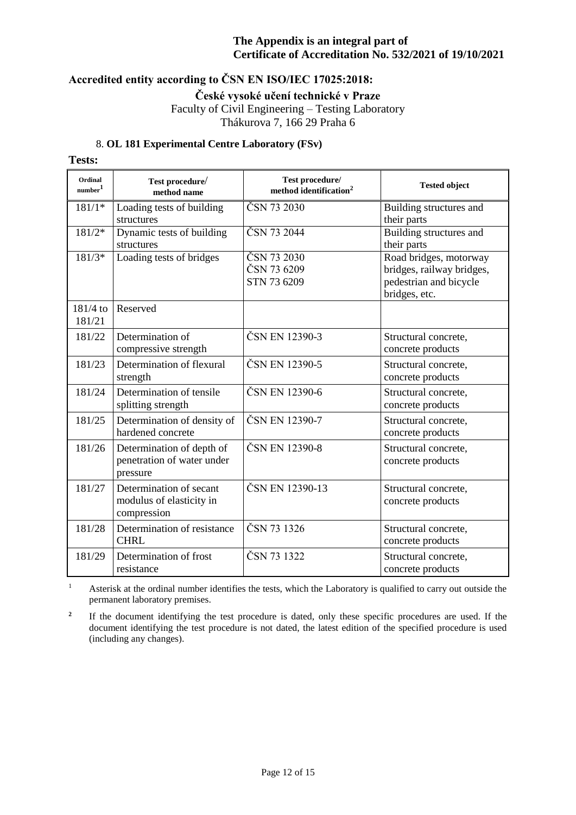# **Accredited entity according to ČSN EN ISO/IEC 17025:2018:**

**České vysoké učení technické v Praze**

Faculty of Civil Engineering – Testing Laboratory Thákurova 7, 166 29 Praha 6

### 8. **OL 181 Experimental Centre Laboratory (FSv)**

### **Tests:**

| Ordinal<br>number <sup>1</sup> | Test procedure/<br>method name                                      | Test procedure/<br>method identification <sup>2</sup> | <b>Tested object</b>                                                                           |
|--------------------------------|---------------------------------------------------------------------|-------------------------------------------------------|------------------------------------------------------------------------------------------------|
| $181/1*$                       | Loading tests of building<br>structures                             | ČSN 73 2030                                           | Building structures and<br>their parts                                                         |
| $181/2*$                       | Dynamic tests of building<br>structures                             | ČSN 73 2044                                           | Building structures and<br>their parts                                                         |
| $181/3*$                       | Loading tests of bridges                                            | ČSN 73 2030<br>ČSN 73 6209<br>STN 73 6209             | Road bridges, motorway<br>bridges, railway bridges,<br>pedestrian and bicycle<br>bridges, etc. |
| $181/4$ to<br>181/21           | Reserved                                                            |                                                       |                                                                                                |
| 181/22                         | Determination of<br>compressive strength                            | ČSN EN 12390-3                                        | Structural concrete,<br>concrete products                                                      |
| 181/23                         | Determination of flexural<br>strength                               | ČSN EN 12390-5                                        | Structural concrete,<br>concrete products                                                      |
| 181/24                         | Determination of tensile<br>splitting strength                      | ČSN EN 12390-6                                        | Structural concrete,<br>concrete products                                                      |
| 181/25                         | Determination of density of<br>hardened concrete                    | ČSN EN 12390-7                                        | Structural concrete,<br>concrete products                                                      |
| 181/26                         | Determination of depth of<br>penetration of water under<br>pressure | ČSN EN 12390-8                                        | Structural concrete,<br>concrete products                                                      |
| 181/27                         | Determination of secant<br>modulus of elasticity in<br>compression  | ČSN EN 12390-13                                       | Structural concrete,<br>concrete products                                                      |
| 181/28                         | Determination of resistance<br><b>CHRL</b>                          | ČSN 73 1326                                           | Structural concrete,<br>concrete products                                                      |
| 181/29                         | Determination of frost<br>resistance                                | ČSN 73 1322                                           | Structural concrete,<br>concrete products                                                      |

<sup>1</sup> Asterisk at the ordinal number identifies the tests, which the Laboratory is qualified to carry out outside the permanent laboratory premises.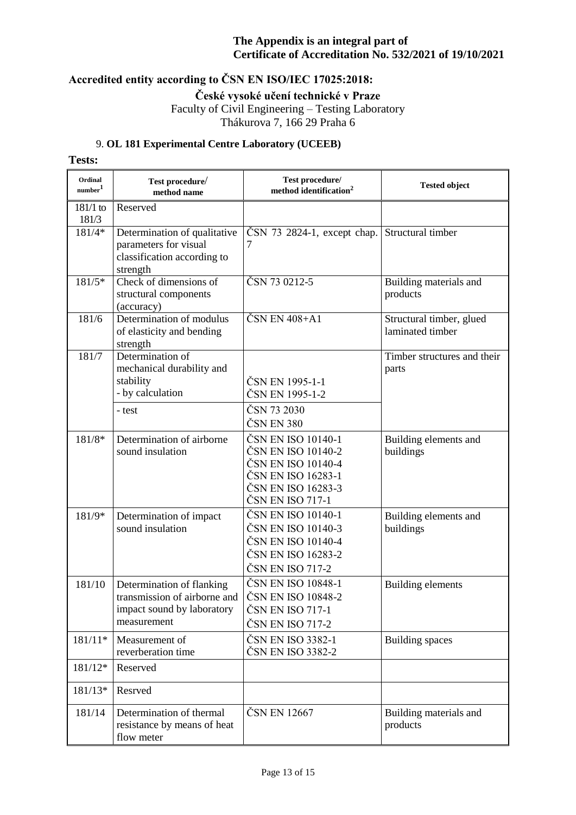# **Accredited entity according to ČSN EN ISO/IEC 17025:2018:**

**České vysoké učení technické v Praze**

Faculty of Civil Engineering – Testing Laboratory Thákurova 7, 166 29 Praha 6

## 9. **OL 181 Experimental Centre Laboratory (UCEEB)**

## **Tests:**

| Ordinal<br>number <sup>1</sup> | Test procedure/<br>method name                                                                         | Test procedure/<br>method identification <sup>2</sup>                                                                          | <b>Tested object</b>                         |
|--------------------------------|--------------------------------------------------------------------------------------------------------|--------------------------------------------------------------------------------------------------------------------------------|----------------------------------------------|
| $181/1$ to<br>181/3            | Reserved                                                                                               |                                                                                                                                |                                              |
| 181/4*                         | Determination of qualitative<br>parameters for visual<br>classification according to<br>strength       | ČSN 73 2824-1, except chap.<br>7                                                                                               | Structural timber                            |
| $181/5*$                       | Check of dimensions of<br>structural components<br>(accuracy)                                          | ČSN 73 0212-5                                                                                                                  | Building materials and<br>products           |
| 181/6                          | Determination of modulus<br>of elasticity and bending<br>strength                                      | ČSN EN 408+A1                                                                                                                  | Structural timber, glued<br>laminated timber |
| 181/7                          | Determination of<br>mechanical durability and<br>stability<br>- by calculation                         | ČSN EN 1995-1-1<br>ČSN EN 1995-1-2                                                                                             | Timber structures and their<br>parts         |
|                                | - test                                                                                                 | ČSN 73 2030<br>ČSN EN 380                                                                                                      |                                              |
| 181/8*                         | Determination of airborne<br>sound insulation                                                          | ČSN EN ISO 10140-1<br>ČSN EN ISO 10140-2<br>ČSN EN ISO 10140-4<br>ČSN EN ISO 16283-1<br>ČSN EN ISO 16283-3<br>ČSN EN ISO 717-1 | Building elements and<br>buildings           |
| 181/9*                         | Determination of impact<br>sound insulation                                                            | ČSN EN ISO 10140-1<br>ČSN EN ISO 10140-3<br>ČSN EN ISO 10140-4<br>ČSN EN ISO 16283-2<br>ČSN EN ISO 717-2                       | Building elements and<br>buildings           |
| 181/10                         | Determination of flanking<br>transmission of airborne and<br>impact sound by laboratory<br>measurement | ČSN EN ISO 10848-1<br>ČSN EN ISO 10848-2<br>ČSN EN ISO 717-1<br>ČSN EN ISO 717-2                                               | Building elements                            |
| 181/11*                        | Measurement of<br>reverberation time                                                                   | ČSN EN ISO 3382-1<br>ČSN EN ISO 3382-2                                                                                         | <b>Building spaces</b>                       |
| 181/12*                        | Reserved                                                                                               |                                                                                                                                |                                              |
| 181/13*                        | Resrved                                                                                                |                                                                                                                                |                                              |
| 181/14                         | Determination of thermal<br>resistance by means of heat<br>flow meter                                  | ČSN EN 12667                                                                                                                   | Building materials and<br>products           |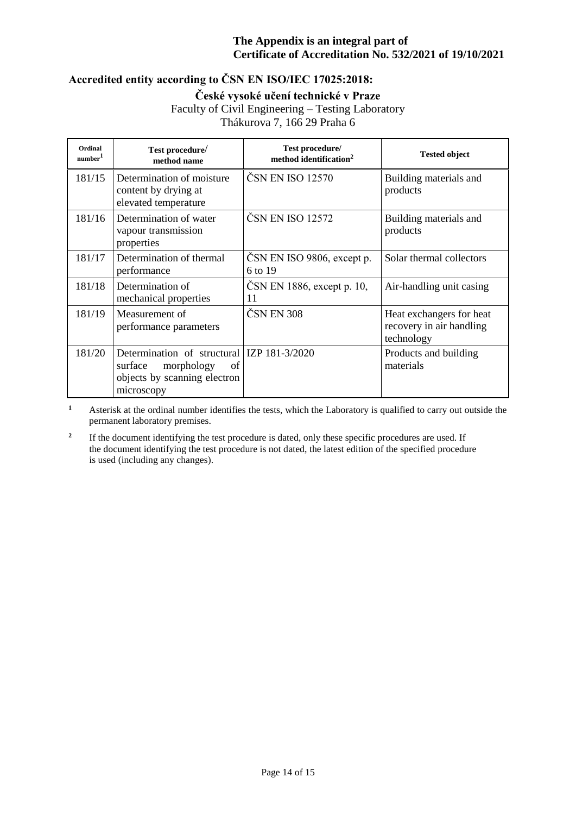# **Accredited entity according to ČSN EN ISO/IEC 17025:2018:**

**České vysoké učení technické v Praze**

Faculty of Civil Engineering – Testing Laboratory

Thákurova 7, 166 29 Praha 6

| Ordinal<br>number <sup>1</sup> | Test procedure/<br>method name                                                                                          | Test procedure/<br>method identification <sup>2</sup> | <b>Tested object</b>                                               |
|--------------------------------|-------------------------------------------------------------------------------------------------------------------------|-------------------------------------------------------|--------------------------------------------------------------------|
| 181/15                         | Determination of moisture<br>content by drying at<br>elevated temperature                                               | ČSN EN ISO 12570                                      | Building materials and<br>products                                 |
| 181/16                         | Determination of water<br>vapour transmission<br>properties                                                             | ČSN EN ISO 12572                                      | Building materials and<br>products                                 |
| 181/17                         | Determination of thermal<br>performance                                                                                 | ČSN EN ISO 9806, except p.<br>6 to 19                 | Solar thermal collectors                                           |
| 181/18                         | Determination of<br>mechanical properties                                                                               | CSN EN 1886, except p. 10,<br>11                      | Air-handling unit casing                                           |
| 181/19                         | Measurement of<br>performance parameters                                                                                | ČSN EN 308                                            | Heat exchangers for heat<br>recovery in air handling<br>technology |
| 181/20                         | Determination of structural IZP 181-3/2020<br>morphology<br>surface<br>of<br>objects by scanning electron<br>microscopy |                                                       | Products and building<br>materials                                 |

**<sup>1</sup>** Asterisk at the ordinal number identifies the tests, which the Laboratory is qualified to carry out outside the permanent laboratory premises.